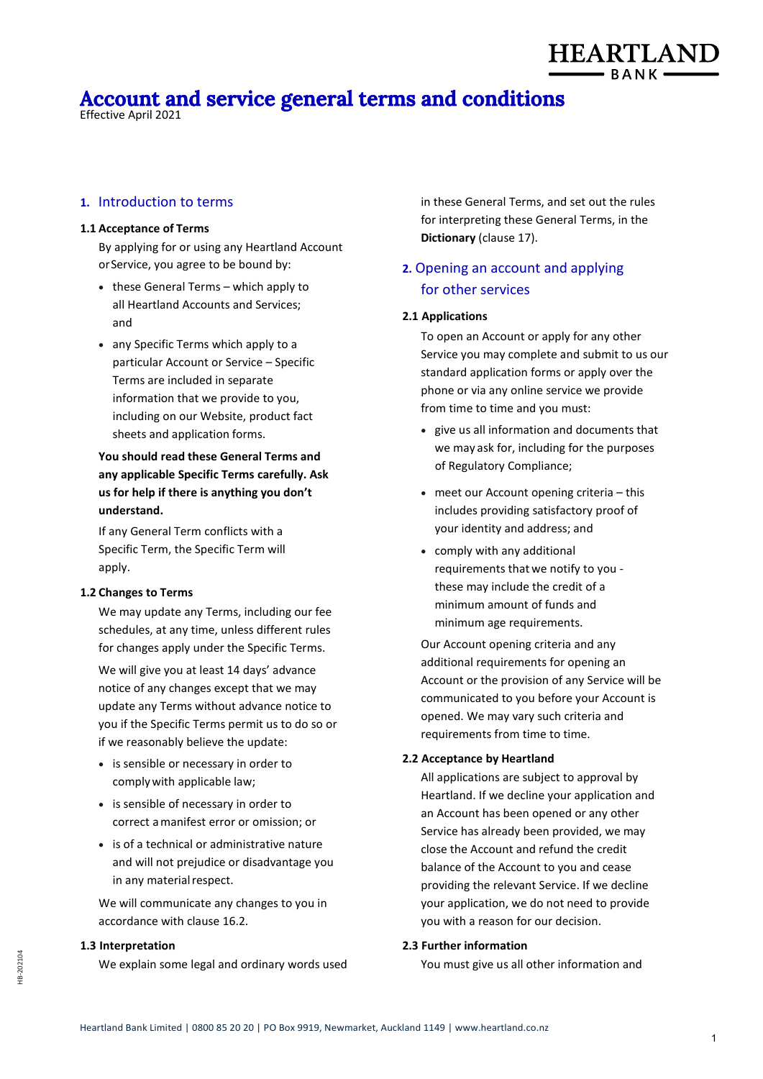# **Account and service general terms and conditions**

Effective April 2021

## **1.** Introduction to terms

#### **1.1 Acceptance of Terms**

By applying for or using any Heartland Account orService, you agree to be bound by:

- these General Terms which apply to all Heartland Accounts and Services; and
- any Specific Terms which apply to a particular Account or Service – Specific Terms are included in separate information that we provide to you, including on our Website, product fact sheets and application forms.

**You should read these General Terms and any applicable Specific Terms carefully. Ask us for help if there is anything you don't understand.**

If any General Term conflicts with a Specific Term, the Specific Term will apply.

#### **1.2 Changes to Terms**

We may update any Terms, including our fee schedules, at any time, unless different rules for changes apply under the Specific Terms.

We will give you at least 14 days' advance notice of any changes except that we may update any Terms without advance notice to you if the Specific Terms permit us to do so or if we reasonably believe the update:

- is sensible or necessary in order to complywith applicable law;
- is sensible of necessary in order to correct amanifest error or omission; or
- is of a technical or administrative nature and will not prejudice or disadvantage you in any material respect.

We will communicate any changes to you in accordance with clause 16.2.

# **1.3 Interpretation**

We explain some legal and ordinary words used

in these General Terms, and set out the rules for interpreting these General Terms, in the **Dictionary** (clause 17).

**HEARTLAND** 

# **2.** Opening an account and applying for other services

#### **2.1 Applications**

To open an Account or apply for any other Service you may complete and submit to us our standard application forms or apply over the phone or via any online service we provide from time to time and you must:

- give us all information and documents that we may ask for, including for the purposes of Regulatory Compliance;
- meet our Account opening criteria this includes providing satisfactory proof of your identity and address; and
- comply with any additional requirements that we notify to you these may include the credit of a minimum amount of funds and minimum age requirements.

Our Account opening criteria and any additional requirements for opening an Account or the provision of any Service will be communicated to you before your Account is opened. We may vary such criteria and requirements from time to time.

#### **2.2 Acceptance by Heartland**

All applications are subject to approval by Heartland. If we decline your application and an Account has been opened or any other Service has already been provided, we may close the Account and refund the credit balance of the Account to you and cease providing the relevant Service. If we decline your application, we do not need to provide you with a reason for our decision.

## **2.3 Further information**

You must give us all other information and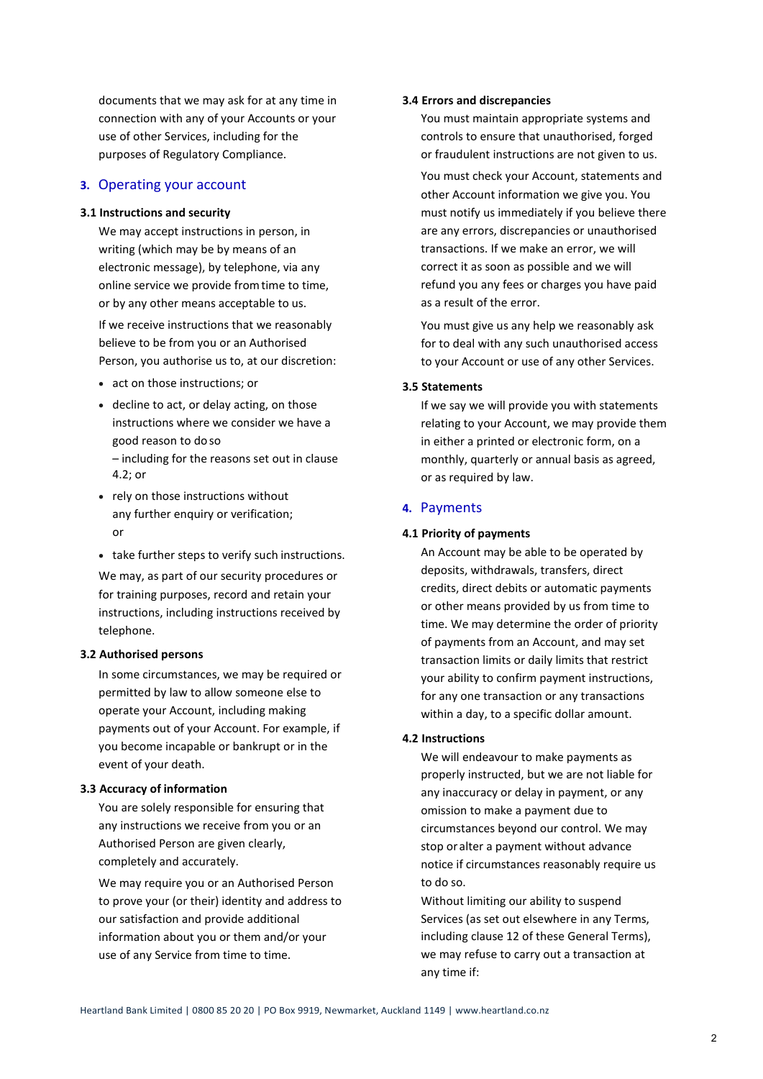documents that we may ask for at any time in connection with any of your Accounts or your use of other Services, including for the purposes of Regulatory Compliance.

# **3.** Operating your account

#### **3.1 Instructions and security**

We may accept instructions in person, in writing (which may be by means of an electronic message), by telephone, via any online service we provide fromtime to time, or by any other means acceptable to us.

If we receive instructions that we reasonably believe to be from you or an Authorised Person, you authorise us to, at our discretion:

- act on those instructions; or
- decline to act, or delay acting, on those instructions where we consider we have a good reason to do so
	- including for the reasons set out in clause 4.2; or
- rely on those instructions without any further enquiry or verification; or
- take further steps to verify such instructions.

We may, as part of our security procedures or for training purposes, record and retain your instructions, including instructions received by telephone.

#### **3.2 Authorised persons**

In some circumstances, we may be required or permitted by law to allow someone else to operate your Account, including making payments out of your Account. For example, if you become incapable or bankrupt or in the event of your death.

#### **3.3 Accuracy of information**

You are solely responsible for ensuring that any instructions we receive from you or an Authorised Person are given clearly, completely and accurately.

We may require you or an Authorised Person to prove your (or their) identity and address to our satisfaction and provide additional information about you or them and/or your use of any Service from time to time.

#### **3.4 Errors and discrepancies**

You must maintain appropriate systems and controls to ensure that unauthorised, forged or fraudulent instructions are not given to us.

You must check your Account, statements and other Account information we give you. You must notify us immediately if you believe there are any errors, discrepancies or unauthorised transactions. If we make an error, we will correct it as soon as possible and we will refund you any fees or charges you have paid as a result of the error.

You must give us any help we reasonably ask for to deal with any such unauthorised access to your Account or use of any other Services.

## **3.5 Statements**

If we say we will provide you with statements relating to your Account, we may provide them in either a printed or electronic form, on a monthly, quarterly or annual basis as agreed, or as required by law.

## **4.** Payments

#### **4.1 Priority of payments**

An Account may be able to be operated by deposits, withdrawals, transfers, direct credits, direct debits or automatic payments or other means provided by us from time to time. We may determine the order of priority of payments from an Account, and may set transaction limits or daily limits that restrict your ability to confirm payment instructions, for any one transaction or any transactions within a day, to a specific dollar amount.

# **4.2 Instructions**

We will endeavour to make payments as properly instructed, but we are not liable for any inaccuracy or delay in payment, or any omission to make a payment due to circumstances beyond our control. We may stop or alter a payment without advance notice if circumstances reasonably require us to do so.

Without limiting our ability to suspend Services (as set out elsewhere in any Terms, including clause 12 of these General Terms), we may refuse to carry out a transaction at any time if: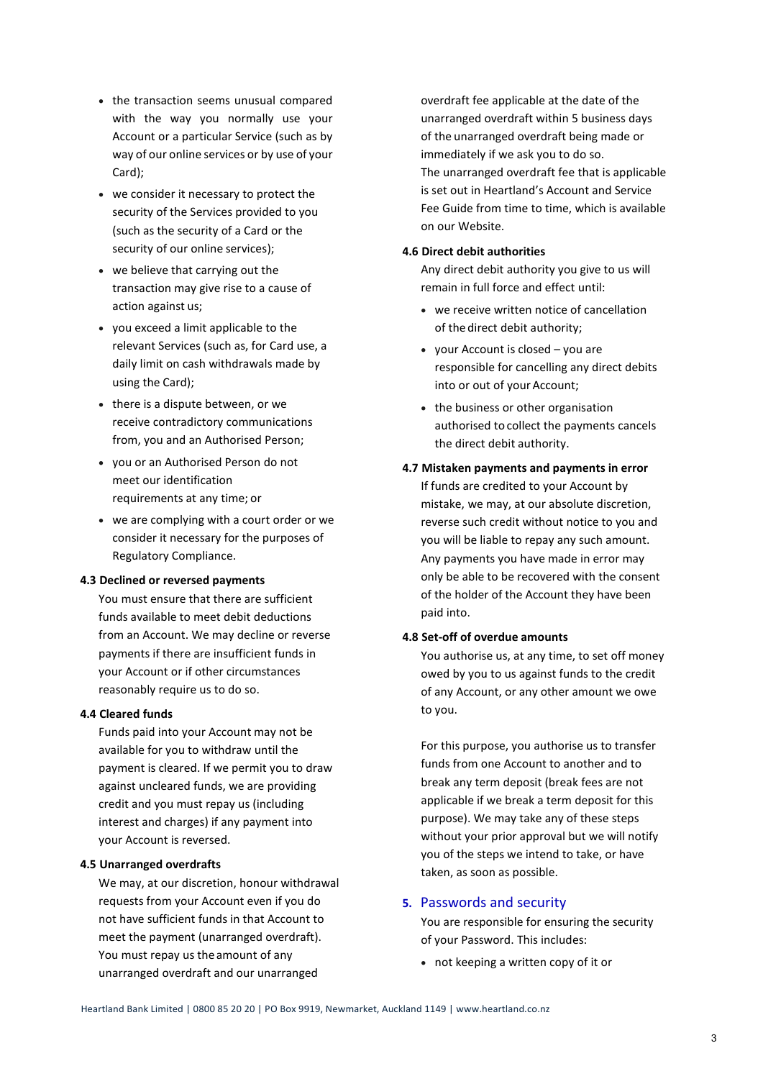- the transaction seems unusual compared with the way you normally use your Account or a particular Service (such as by way of our online services or by use of your Card);
- we consider it necessary to protect the security of the Services provided to you (such as the security of a Card or the security of our online services);
- we believe that carrying out the transaction may give rise to a cause of action against us;
- you exceed a limit applicable to the relevant Services (such as, for Card use, a daily limit on cash withdrawals made by using the Card);
- there is a dispute between, or we receive contradictory communications from, you and an Authorised Person;
- you or an Authorised Person do not meet our identification requirements at any time; or
- we are complying with a court order or we consider it necessary for the purposes of Regulatory Compliance.

## **4.3 Declined or reversed payments**

You must ensure that there are sufficient funds available to meet debit deductions from an Account. We may decline or reverse payments if there are insufficient funds in your Account or if other circumstances reasonably require us to do so.

#### **4.4 Cleared funds**

Funds paid into your Account may not be available for you to withdraw until the payment is cleared. If we permit you to draw against uncleared funds, we are providing credit and you must repay us (including interest and charges) if any payment into your Account is reversed.

## **4.5 Unarranged overdrafts**

We may, at our discretion, honour withdrawal requests from your Account even if you do not have sufficient funds in that Account to meet the payment (unarranged overdraft). You must repay us the amount of any unarranged overdraft and our unarranged

overdraft fee applicable at the date of the unarranged overdraft within 5 business days of the unarranged overdraft being made or immediately if we ask you to do so. The unarranged overdraft fee that is applicable is set out in Heartland's Account and Service Fee Guide from time to time, which is available on our Website.

## **4.6 Direct debit authorities**

Any direct debit authority you give to us will remain in full force and effect until:

- we receive written notice of cancellation of thedirect debit authority;
- your Account is closed you are responsible for cancelling any direct debits into or out of your Account;
- the business or other organisation authorised to collect the payments cancels the direct debit authority.
- **4.7 Mistaken payments and payments in error** If funds are credited to your Account by mistake, we may, at our absolute discretion, reverse such credit without notice to you and you will be liable to repay any such amount. Any payments you have made in error may only be able to be recovered with the consent of the holder of the Account they have been paid into.

## **4.8 Set-off of overdue amounts**

You authorise us, at any time, to set off money owed by you to us against funds to the credit of any Account, or any other amount we owe to you.

For this purpose, you authorise us to transfer funds from one Account to another and to break any term deposit (break fees are not applicable if we break a term deposit for this purpose). We may take any of these steps without your prior approval but we will notify you of the steps we intend to take, or have taken, as soon as possible.

## **5.** Passwords and security

You are responsible for ensuring the security of your Password. This includes:

• not keeping a written copy of it or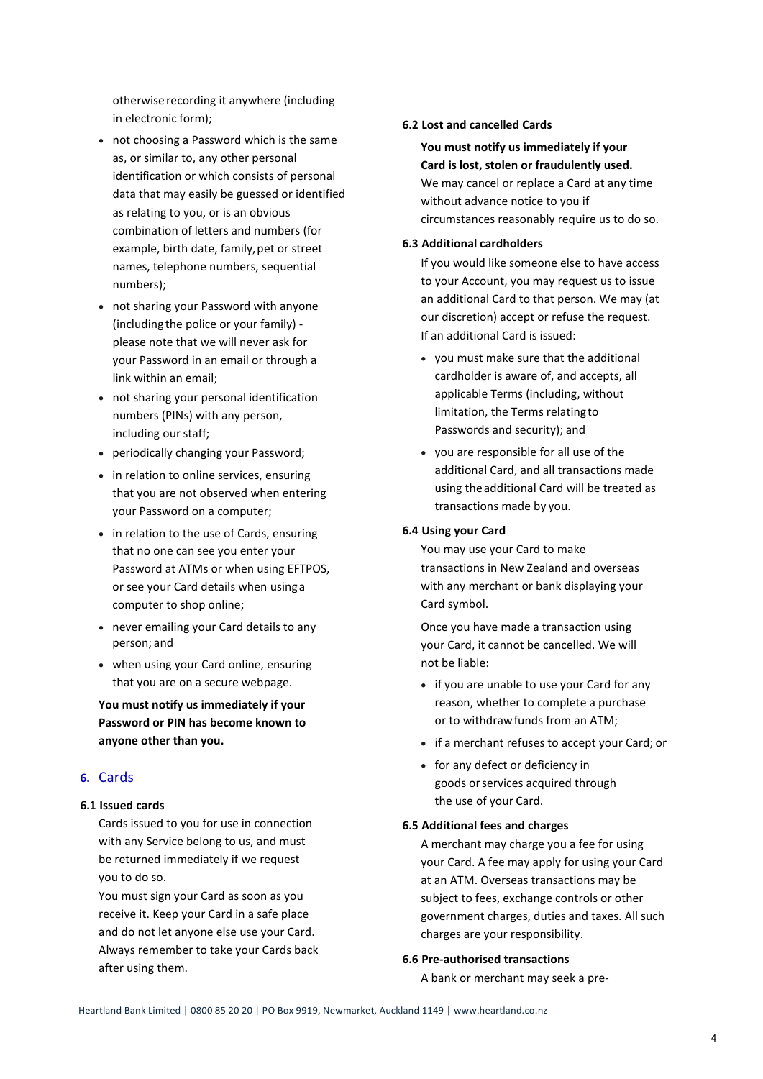otherwiserecording it anywhere (including in electronic form);

- not choosing a Password which is the same as, or similar to, any other personal identification or which consists of personal data that may easily be guessed or identified as relating to you, or is an obvious combination of letters and numbers (for example, birth date, family,pet or street names, telephone numbers, sequential numbers);
- not sharing your Password with anyone (including the police or your family) please note that we will never ask for your Password in an email or through a link within an email;
- not sharing your personal identification numbers (PINs) with any person, including our staff;
- periodically changing your Password;
- in relation to online services, ensuring that you are not observed when entering your Password on a computer;
- in relation to the use of Cards, ensuring that no one can see you enter your Password at ATMs or when using EFTPOS, or see your Card details when usinga computer to shop online;
- never emailing your Card details to any person; and
- when using your Card online, ensuring that you are on a secure webpage.

**You must notify us immediately if your Password or PIN has become known to anyone other than you.**

# **6.** Cards

## **6.1 Issued cards**

Cards issued to you for use in connection with any Service belong to us, and must be returned immediately if we request you to do so.

You must sign your Card as soon as you receive it. Keep your Card in a safe place and do not let anyone else use your Card. Always remember to take your Cards back after using them.

#### **6.2 Lost and cancelled Cards**

**You must notify us immediately if your Card is lost, stolen or fraudulently used.** We may cancel or replace a Card at any time without advance notice to you if circumstances reasonably require us to do so.

## **6.3 Additional cardholders**

If you would like someone else to have access to your Account, you may request us to issue an additional Card to that person. We may (at our discretion) accept or refuse the request. If an additional Card is issued:

- you must make sure that the additional cardholder is aware of, and accepts, all applicable Terms (including, without limitation, the Terms relatingto Passwords and security); and
- you are responsible for all use of the additional Card, and all transactions made using theadditional Card will be treated as transactions made by you.

#### **6.4 Using your Card**

You may use your Card to make transactions in New Zealand and overseas with any merchant or bank displaying your Card symbol.

Once you have made a transaction using your Card, it cannot be cancelled. We will not be liable:

- if you are unable to use your Card for any reason, whether to complete a purchase or to withdrawfunds from an ATM;
- if a merchant refuses to accept your Card; or
- for any defect or deficiency in goods orservices acquired through the use of your Card.

#### **6.5 Additional fees and charges**

A merchant may charge you a fee for using your Card. A fee may apply for using your Card at an ATM. Overseas transactions may be subject to fees, exchange controls or other government charges, duties and taxes. All such charges are your responsibility.

## **6.6 Pre-authorised transactions**

A bank or merchant may seek a pre-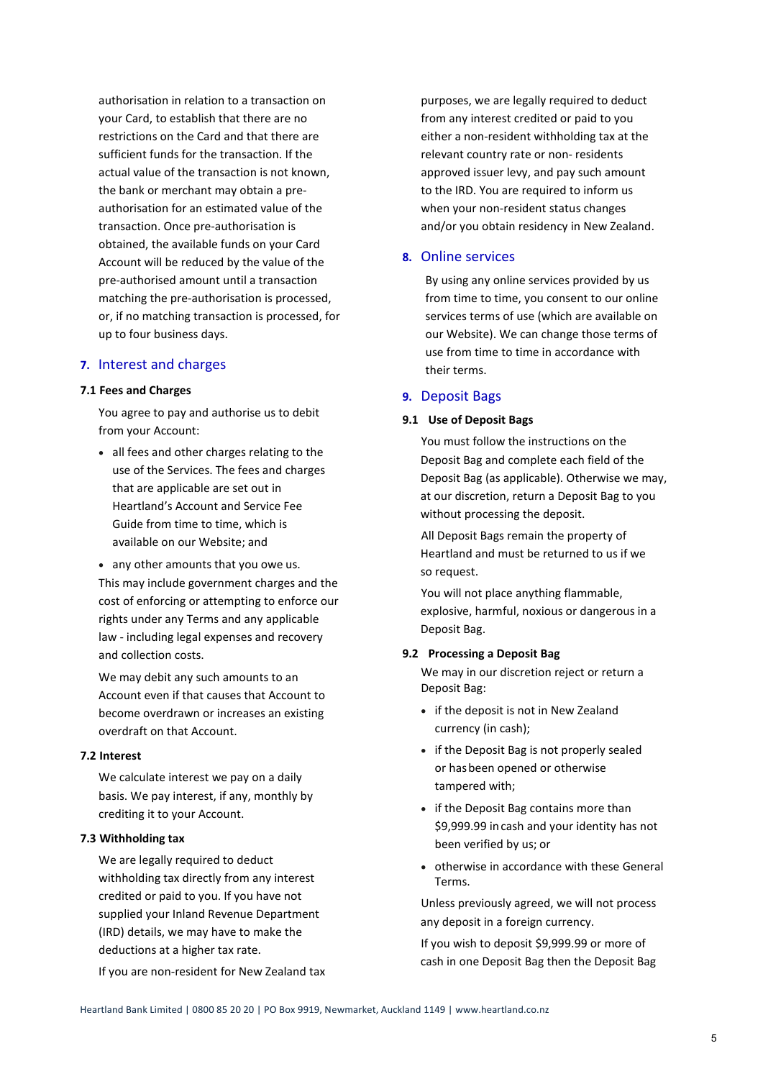authorisation in relation to a transaction on your Card, to establish that there are no restrictions on the Card and that there are sufficient funds for the transaction. If the actual value of the transaction is not known, the bank or merchant may obtain a preauthorisation for an estimated value of the transaction. Once pre-authorisation is obtained, the available funds on your Card Account will be reduced by the value of the pre-authorised amount until a transaction matching the pre-authorisation is processed, or, if no matching transaction is processed, for up to four business days.

## **7.** Interest and charges

#### **7.1 Fees and Charges**

You agree to pay and authorise us to debit from your Account:

- all fees and other charges relating to the use of the Services. The fees and charges that are applicable are set out in Heartland's Account and Service Fee Guide from time to time, which is available on our Website; and
- any other amounts that you owe us. This may include government charges and the cost of enforcing or attempting to enforce our rights under any Terms and any applicable law - including legal expenses and recovery and collection costs.

We may debit any such amounts to an Account even if that causes that Account to become overdrawn or increases an existing overdraft on that Account.

## **7.2 Interest**

We calculate interest we pay on a daily basis. We pay interest, if any, monthly by crediting it to your Account.

## **7.3 Withholding tax**

We are legally required to deduct withholding tax directly from any interest credited or paid to you. If you have not supplied your Inland Revenue Department (IRD) details, we may have to make the deductions at a higher tax rate.

If you are non-resident for New Zealand tax

purposes, we are legally required to deduct from any interest credited or paid to you either a non-resident withholding tax at the relevant country rate or non- residents approved issuer levy, and pay such amount to the IRD. You are required to inform us when your non-resident status changes and/or you obtain residency in New Zealand.

# **8.** Online services

By using any online services provided by us from time to time, you consent to our online services terms of use (which are available on our Website). We can change those terms of use from time to time in accordance with their terms.

## **9.** Deposit Bags

#### **9.1 Use of Deposit Bags**

You must follow the instructions on the Deposit Bag and complete each field of the Deposit Bag (as applicable). Otherwise we may, at our discretion, return a Deposit Bag to you without processing the deposit.

All Deposit Bags remain the property of Heartland and must be returned to us if we so request.

You will not place anything flammable, explosive, harmful, noxious or dangerous in a Deposit Bag.

#### **9.2 Processing a Deposit Bag**

We may in our discretion reject or return a Deposit Bag:

- if the deposit is not in New Zealand currency (in cash);
- if the Deposit Bag is not properly sealed or hasbeen opened or otherwise tampered with;
- if the Deposit Bag contains more than \$9,999.99 incash and your identity has not been verified by us; or
- otherwise in accordance with these General Terms.

Unless previously agreed, we will not process any deposit in a foreign currency.

If you wish to deposit \$9,999.99 or more of cash in one Deposit Bag then the Deposit Bag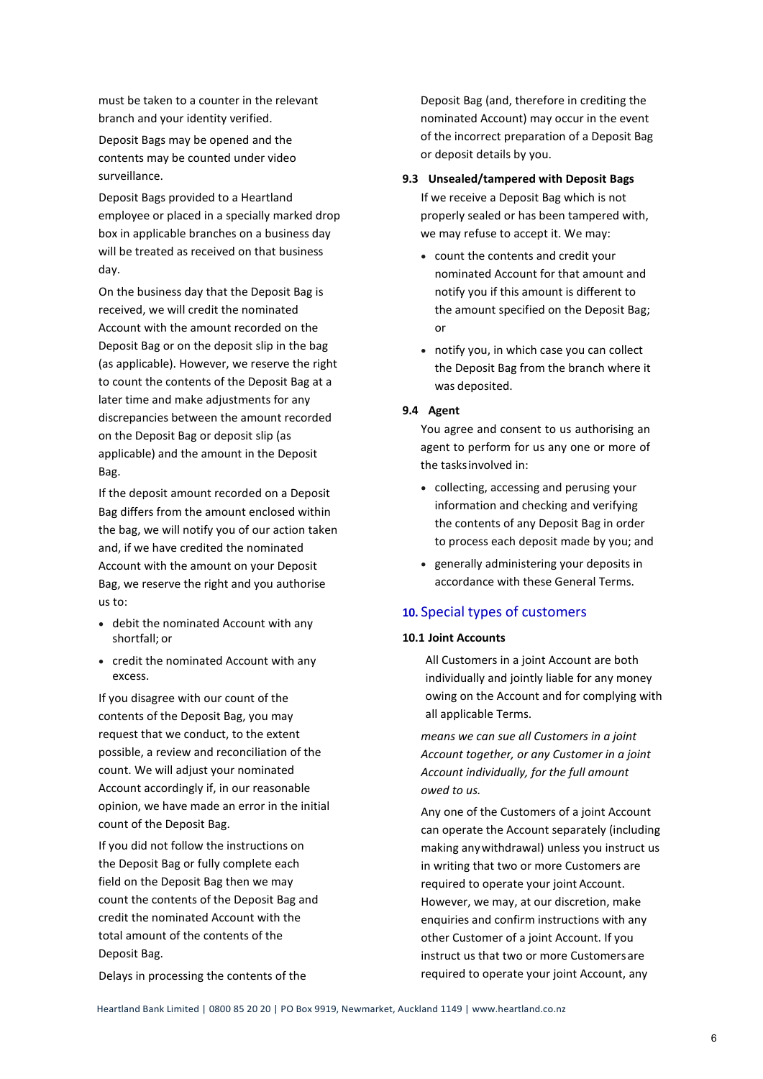must be taken to a counter in the relevant branch and your identity verified.

Deposit Bags may be opened and the contents may be counted under video surveillance.

Deposit Bags provided to a Heartland employee or placed in a specially marked drop box in applicable branches on a business day will be treated as received on that business day.

On the business day that the Deposit Bag is received, we will credit the nominated Account with the amount recorded on the Deposit Bag or on the deposit slip in the bag (as applicable). However, we reserve the right to count the contents of the Deposit Bag at a later time and make adjustments for any discrepancies between the amount recorded on the Deposit Bag or deposit slip (as applicable) and the amount in the Deposit Bag.

If the deposit amount recorded on a Deposit Bag differs from the amount enclosed within the bag, we will notify you of our action taken and, if we have credited the nominated Account with the amount on your Deposit Bag, we reserve the right and you authorise us to:

- debit the nominated Account with any shortfall; or
- credit the nominated Account with any excess.

If you disagree with our count of the contents of the Deposit Bag, you may request that we conduct, to the extent possible, a review and reconciliation of the count. We will adjust your nominated Account accordingly if, in our reasonable opinion, we have made an error in the initial count of the Deposit Bag.

If you did not follow the instructions on the Deposit Bag or fully complete each field on the Deposit Bag then we may count the contents of the Deposit Bag and credit the nominated Account with the total amount of the contents of the Deposit Bag.

Delays in processing the contents of the

Deposit Bag (and, therefore in crediting the nominated Account) may occur in the event of the incorrect preparation of a Deposit Bag or deposit details by you.

#### **9.3 Unsealed/tampered with Deposit Bags**

If we receive a Deposit Bag which is not properly sealed or has been tampered with, we may refuse to accept it. We may:

- count the contents and credit your nominated Account for that amount and notify you if this amount is different to the amount specified on the Deposit Bag; or
- notify you, in which case you can collect the Deposit Bag from the branch where it was deposited.

#### **9.4 Agent**

You agree and consent to us authorising an agent to perform for us any one or more of the tasksinvolved in:

- collecting, accessing and perusing your information and checking and verifying the contents of any Deposit Bag in order to process each deposit made by you; and
- generally administering your deposits in accordance with these General Terms.

## **10.** Special types of customers

## **10.1 Joint Accounts**

All Customers in a joint Account are both individually and jointly liable for any money owing on the Account and for complying with all applicable Terms.

*means we can sue all Customers in a joint Account together, or any Customer in a joint Account individually, for the full amount owed to us.*

Any one of the Customers of a joint Account can operate the Account separately (including making anywithdrawal) unless you instruct us in writing that two or more Customers are required to operate your joint Account. However, we may, at our discretion, make enquiries and confirm instructions with any other Customer of a joint Account. If you instruct us that two or more Customersare required to operate your joint Account, any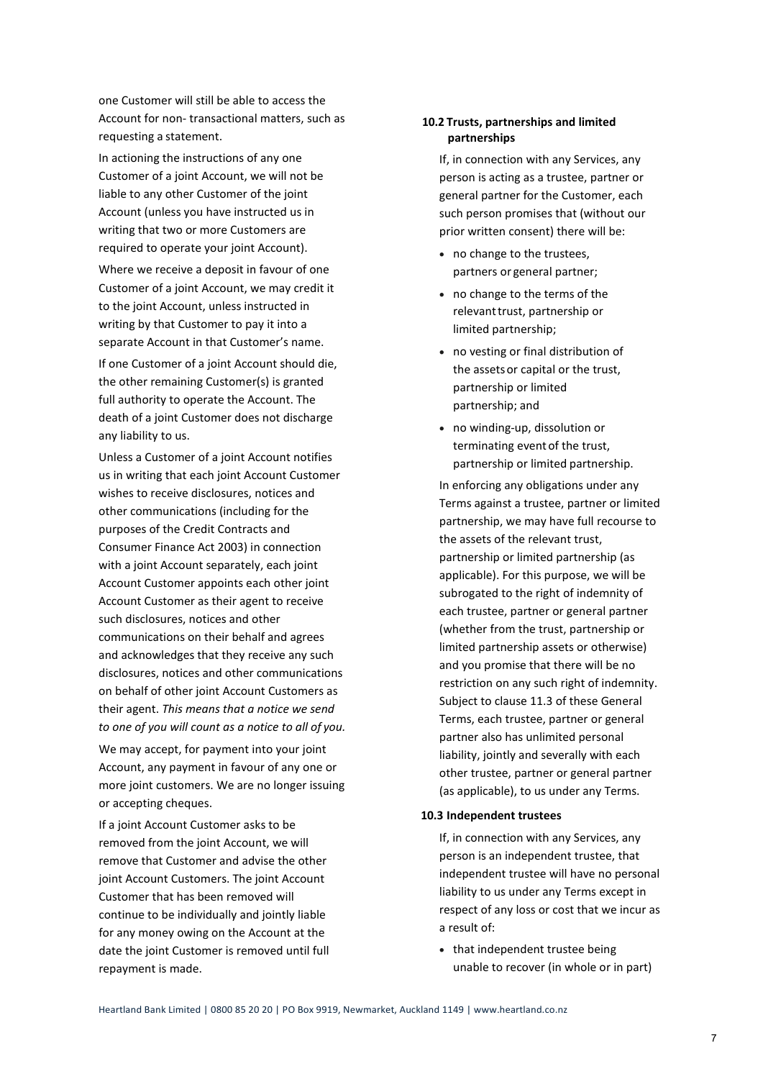one Customer will still be able to access the Account for non- transactional matters, such as requesting a statement.

In actioning the instructions of any one Customer of a joint Account, we will not be liable to any other Customer of the joint Account (unless you have instructed us in writing that two or more Customers are required to operate your joint Account).

Where we receive a deposit in favour of one Customer of a joint Account, we may credit it to the joint Account, unless instructed in writing by that Customer to pay it into a separate Account in that Customer's name.

If one Customer of a joint Account should die, the other remaining Customer(s) is granted full authority to operate the Account. The death of a joint Customer does not discharge any liability to us.

Unless a Customer of a joint Account notifies us in writing that each joint Account Customer wishes to receive disclosures, notices and other communications (including for the purposes of the Credit Contracts and Consumer Finance Act 2003) in connection with a joint Account separately, each joint Account Customer appoints each other joint Account Customer as their agent to receive such disclosures, notices and other communications on their behalf and agrees and acknowledges that they receive any such disclosures, notices and other communications on behalf of other joint Account Customers as their agent. *This means that a notice we send to one of you will count as a notice to all of you.*

We may accept, for payment into your joint Account, any payment in favour of any one or more joint customers. We are no longer issuing or accepting cheques.

If a joint Account Customer asks to be removed from the joint Account, we will remove that Customer and advise the other joint Account Customers. The joint Account Customer that has been removed will continue to be individually and jointly liable for any money owing on the Account at the date the joint Customer is removed until full repayment is made.

## **10.2 Trusts, partnerships and limited partnerships**

If, in connection with any Services, any person is acting as a trustee, partner or general partner for the Customer, each such person promises that (without our prior written consent) there will be:

- no change to the trustees, partners or general partner;
- no change to the terms of the relevant trust, partnership or limited partnership;
- no vesting or final distribution of the assetsor capital or the trust, partnership or limited partnership; and
- no winding-up, dissolution or terminating event of the trust, partnership or limited partnership.

In enforcing any obligations under any Terms against a trustee, partner or limited partnership, we may have full recourse to the assets of the relevant trust, partnership or limited partnership (as applicable). For this purpose, we will be subrogated to the right of indemnity of each trustee, partner or general partner (whether from the trust, partnership or limited partnership assets or otherwise) and you promise that there will be no restriction on any such right of indemnity. Subject to clause 11.3 of these General Terms, each trustee, partner or general partner also has unlimited personal liability, jointly and severally with each other trustee, partner or general partner (as applicable), to us under any Terms.

#### **10.3 Independent trustees**

If, in connection with any Services, any person is an independent trustee, that independent trustee will have no personal liability to us under any Terms except in respect of any loss or cost that we incur as a result of:

• that independent trustee being unable to recover (in whole or in part)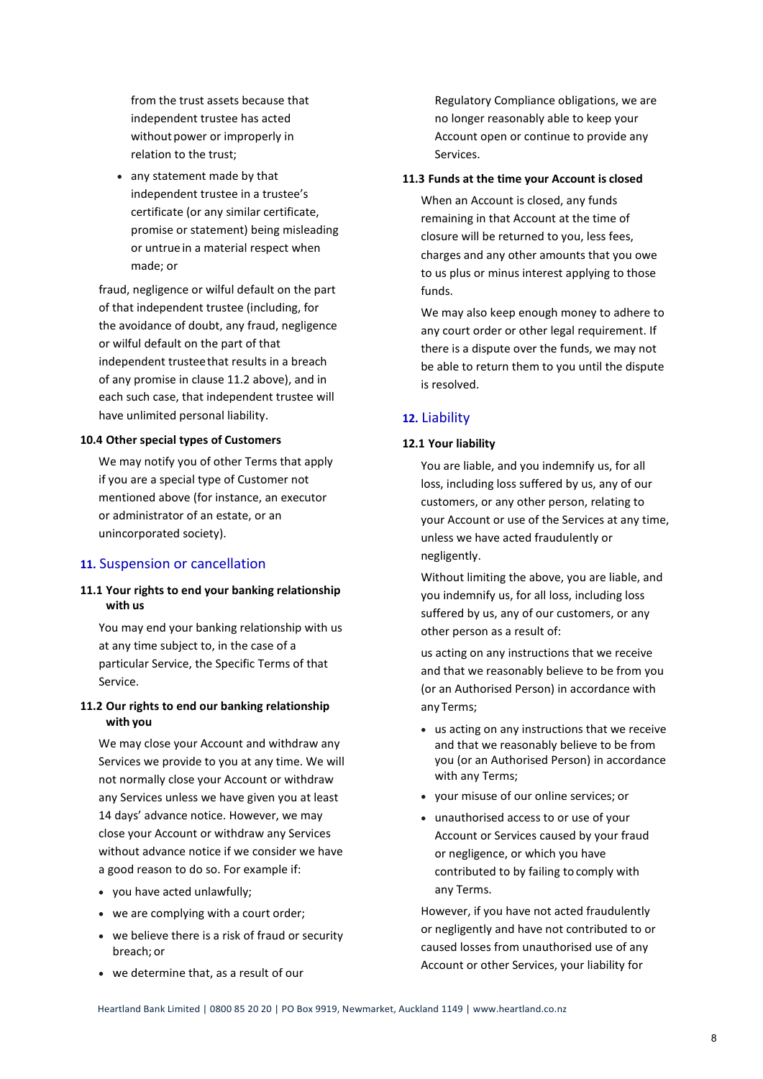from the trust assets because that independent trustee has acted without power or improperly in relation to the trust;

• any statement made by that independent trustee in a trustee's certificate (or any similar certificate, promise or statement) being misleading or untrue in a material respect when made; or

fraud, negligence or wilful default on the part of that independent trustee (including, for the avoidance of doubt, any fraud, negligence or wilful default on the part of that independent trusteethat results in a breach of any promise in clause 11.2 above), and in each such case, that independent trustee will have unlimited personal liability.

#### **10.4 Other special types of Customers**

We may notify you of other Terms that apply if you are a special type of Customer not mentioned above (for instance, an executor or administrator of an estate, or an unincorporated society).

#### **11.** Suspension or cancellation

## **11.1 Your rights to end your banking relationship with us**

You may end your banking relationship with us at any time subject to, in the case of a particular Service, the Specific Terms of that Service.

## **11.2 Our rights to end our banking relationship with you**

We may close your Account and withdraw any Services we provide to you at any time. We will not normally close your Account or withdraw any Services unless we have given you at least 14 days' advance notice. However, we may close your Account or withdraw any Services without advance notice if we consider we have a good reason to do so. For example if:

- you have acted unlawfully;
- we are complying with a court order;
- we believe there is a risk of fraud or security breach; or
- we determine that, as a result of our

Regulatory Compliance obligations, we are no longer reasonably able to keep your Account open or continue to provide any Services.

#### **11.3 Funds at the time your Account is closed**

When an Account is closed, any funds remaining in that Account at the time of closure will be returned to you, less fees, charges and any other amounts that you owe to us plus or minus interest applying to those funds.

We may also keep enough money to adhere to any court order or other legal requirement. If there is a dispute over the funds, we may not be able to return them to you until the dispute is resolved.

## **12.** Liability

## **12.1 Your liability**

You are liable, and you indemnify us, for all loss, including loss suffered by us, any of our customers, or any other person, relating to your Account or use of the Services at any time, unless we have acted fraudulently or negligently.

Without limiting the above, you are liable, and you indemnify us, for all loss, including loss suffered by us, any of our customers, or any other person as a result of:

us acting on any instructions that we receive and that we reasonably believe to be from you (or an Authorised Person) in accordance with any Terms;

- us acting on any instructions that we receive and that we reasonably believe to be from you (or an Authorised Person) in accordance with any Terms;
- your misuse of our online services; or
- unauthorised access to or use of your Account or Services caused by your fraud or negligence, or which you have contributed to by failing to comply with any Terms.

However, if you have not acted fraudulently or negligently and have not contributed to or caused losses from unauthorised use of any Account or other Services, your liability for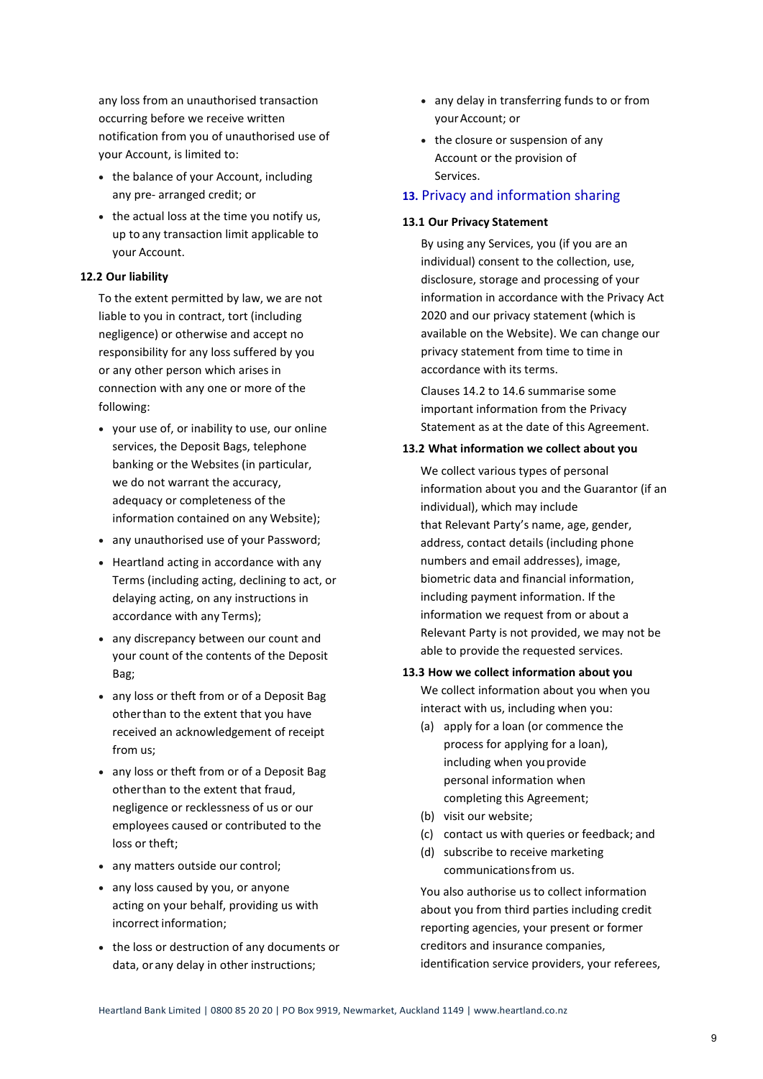any loss from an unauthorised transaction occurring before we receive written notification from you of unauthorised use of your Account, is limited to:

- the balance of your Account, including any pre- arranged credit; or
- the actual loss at the time you notify us, up to any transaction limit applicable to your Account.

## **12.2 Our liability**

To the extent permitted by law, we are not liable to you in contract, tort (including negligence) or otherwise and accept no responsibility for any loss suffered by you or any other person which arises in connection with any one or more of the following:

- your use of, or inability to use, our online services, the Deposit Bags, telephone banking or the Websites (in particular, we do not warrant the accuracy, adequacy or completeness of the information contained on any Website);
- any unauthorised use of your Password;
- Heartland acting in accordance with any Terms (including acting, declining to act, or delaying acting, on any instructions in accordance with any Terms);
- any discrepancy between our count and your count of the contents of the Deposit Bag;
- any loss or theft from or of a Deposit Bag otherthan to the extent that you have received an acknowledgement of receipt from us;
- any loss or theft from or of a Deposit Bag otherthan to the extent that fraud, negligence or recklessness of us or our employees caused or contributed to the loss or theft;
- any matters outside our control;
- any loss caused by you, or anyone acting on your behalf, providing us with incorrect information;
- the loss or destruction of any documents or data, or any delay in other instructions;
- any delay in transferring funds to or from yourAccount; or
- the closure or suspension of any Account or the provision of Services.

#### **13.** Privacy and information sharing

#### **13.1 Our Privacy Statement**

By using any Services, you (if you are an individual) consent to the collection, use, disclosure, storage and processing of your information in accordance with the Privacy Act 2020 and our privacy statement (which is available on the Website). We can change our privacy statement from time to time in accordance with its terms.

Clauses 14.2 to 14.6 summarise some important information from the Privacy Statement as at the date of this Agreement.

## **13.2 What information we collect about you**

We collect various types of personal information about you and the Guarantor (if an individual), which may include that Relevant Party's name, age, gender, address, contact details (including phone numbers and email addresses), image, biometric data and financial information, including payment information. If the information we request from or about a Relevant Party is not provided, we may not be able to provide the requested services.

## **13.3 How we collect information about you**

We collect information about you when you interact with us, including when you:

- (a) apply for a loan (or commence the process for applying for a loan), including when youprovide personal information when completing this Agreement;
- (b) visit our website;
- (c) contact us with queries or feedback; and
- (d) subscribe to receive marketing communicationsfrom us.

You also authorise us to collect information about you from third parties including credit reporting agencies, your present or former creditors and insurance companies, identification service providers, your referees,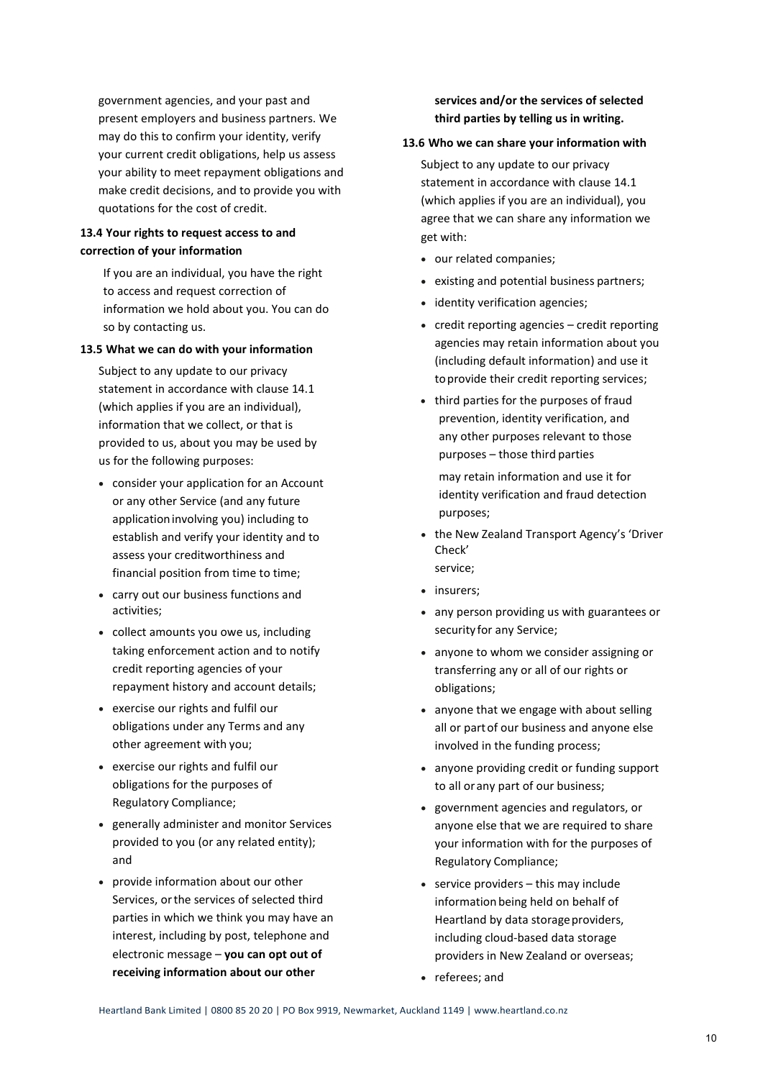government agencies, and your past and present employers and business partners. We may do this to confirm your identity, verify your current credit obligations, help us assess your ability to meet repayment obligations and make credit decisions, and to provide you with quotations for the cost of credit.

# **13.4 Your rights to request access to and correction of your information**

If you are an individual, you have the right to access and request correction of information we hold about you. You can do so by contacting us.

## **13.5 What we can do with your information**

Subject to any update to our privacy statement in accordance with clause 14.1 (which applies if you are an individual), information that we collect, or that is provided to us, about you may be used by us for the following purposes:

- consider your application for an Account or any other Service (and any future applicationinvolving you) including to establish and verify your identity and to assess your creditworthiness and financial position from time to time;
- carry out our business functions and activities;
- collect amounts you owe us, including taking enforcement action and to notify credit reporting agencies of your repayment history and account details;
- exercise our rights and fulfil our obligations under any Terms and any other agreement with you;
- exercise our rights and fulfil our obligations for the purposes of Regulatory Compliance;
- generally administer and monitor Services provided to you (or any related entity); and
- provide information about our other Services, orthe services of selected third parties in which we think you may have an interest, including by post, telephone and electronic message – **you can opt out of receiving information about our other**

# **services and/or the services of selected third parties by telling us in writing.**

#### **13.6 Who we can share your information with**

Subject to any update to our privacy statement in accordance with clause 14.1 (which applies if you are an individual), you agree that we can share any information we get with:

- our related companies;
- existing and potential business partners;
- identity verification agencies;
- credit reporting agencies credit reporting agencies may retain information about you (including default information) and use it toprovide their credit reporting services;
- third parties for the purposes of fraud prevention, identity verification, and any other purposes relevant to those purposes – those third parties

may retain information and use it for identity verification and fraud detection purposes;

- the New Zealand Transport Agency's 'Driver Check' service;
- insurers;
- any person providing us with guarantees or security for any Service;
- anyone to whom we consider assigning or transferring any or all of our rights or obligations;
- anyone that we engage with about selling all or partof our business and anyone else involved in the funding process;
- anyone providing credit or funding support to all or any part of our business;
- government agencies and regulators, or anyone else that we are required to share your information with for the purposes of Regulatory Compliance;
- service providers this may include information being held on behalf of Heartland by data storage providers, including cloud-based data storage providers in New Zealand or overseas;
- referees; and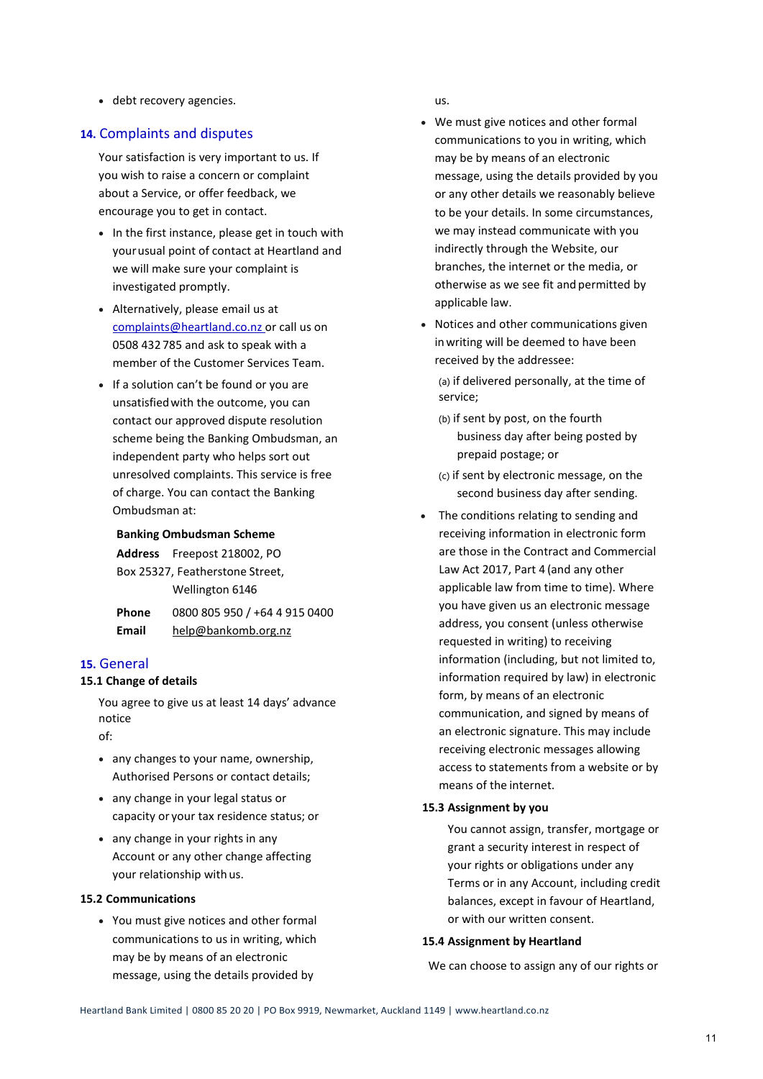• debt recovery agencies.

# **14.** Complaints and disputes

Your satisfaction is very important to us. If you wish to raise a concern or complaint about a Service, or offer feedback, we encourage you to get in contact.

- In the first instance, please get in touch with yourusual point of contact at Heartland and we will make sure your complaint is investigated promptly.
- Alternatively, please email us at [complaints@heartland.co.nz o](mailto:complaints@heartland.co.nz)r call us on 0508 432 785 and ask to speak with a member of the Customer Services Team.
- If a solution can't be found or you are unsatisfiedwith the outcome, you can contact our approved dispute resolution scheme being the Banking Ombudsman, an independent party who helps sort out unresolved complaints. This service is free of charge. You can contact the Banking Ombudsman at:

#### **Banking Ombudsman Scheme**

|                                 | Address Freepost 218002, PO   |
|---------------------------------|-------------------------------|
| Box 25327, Featherstone Street, |                               |
|                                 | Wellington 6146               |
| Phone                           | 0800 805 950 / +64 4 915 0400 |
| Email                           | help@bankomb.org.nz           |

## **15.** General

## **15.1 Change of details**

You agree to give us at least 14 days' advance notice

of:

- any changes to your name, ownership, Authorised Persons or contact details;
- any change in your legal status or capacity or your tax residence status; or
- any change in your rights in any Account or any other change affecting your relationship with us.

#### **15.2 Communications**

• You must give notices and other formal communications to us in writing, which may be by means of an electronic message, using the details provided by

us.

- We must give notices and other formal communications to you in writing, which may be by means of an electronic message, using the details provided by you or any other details we reasonably believe to be your details. In some circumstances, we may instead communicate with you indirectly through the Website, our branches, the internet or the media, or otherwise as we see fit and permitted by applicable law.
- Notices and other communications given inwriting will be deemed to have been received by the addressee:

(a) if delivered personally, at the time of service;

- (b) if sent by post, on the fourth business day after being posted by prepaid postage; or
- (c) if sent by electronic message, on the second business day after sending.
- The conditions relating to sending and receiving information in electronic form are those in the Contract and Commercial Law Act 2017, Part 4 (and any other applicable law from time to time). Where you have given us an electronic message address, you consent (unless otherwise requested in writing) to receiving information (including, but not limited to, information required by law) in electronic form, by means of an electronic communication, and signed by means of an electronic signature. This may include receiving electronic messages allowing access to statements from a website or by means of the internet.

## **15.3 Assignment by you**

You cannot assign, transfer, mortgage or grant a security interest in respect of your rights or obligations under any Terms or in any Account, including credit balances, except in favour of Heartland, or with our written consent.

#### **15.4 Assignment by Heartland**

We can choose to assign any of our rights or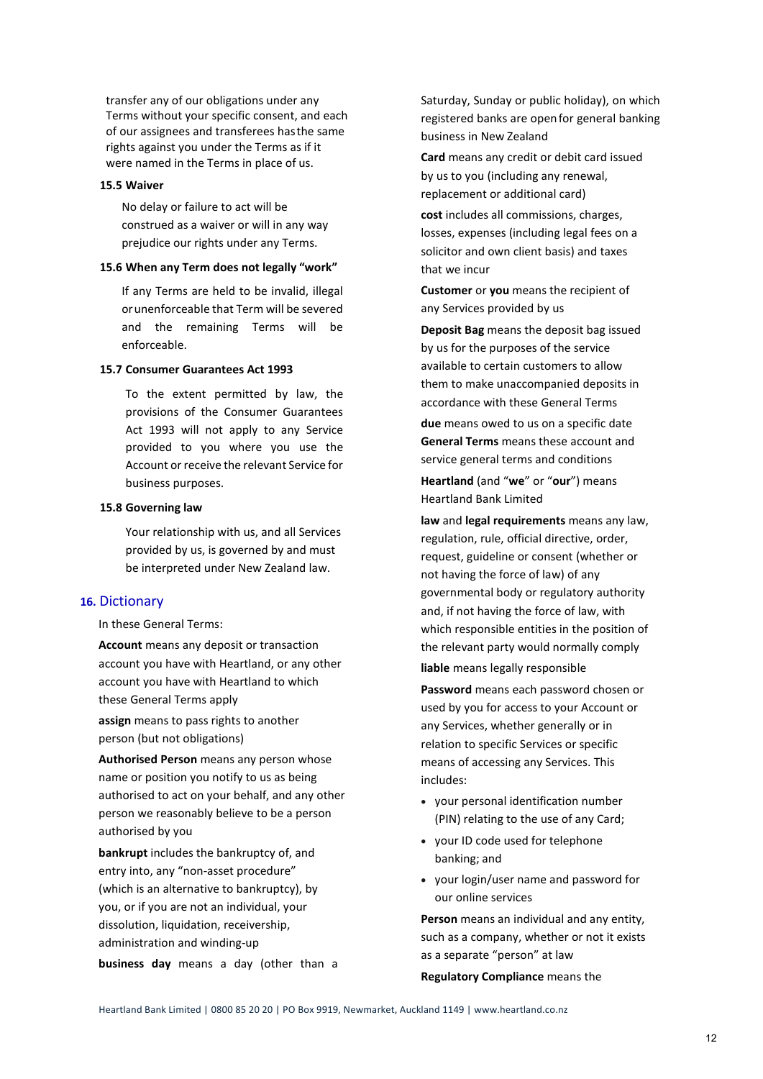transfer any of our obligations under any Terms without your specific consent, and each of our assignees and transferees hasthe same rights against you under the Terms as if it were named in the Terms in place of us.

#### **15.5 Waiver**

No delay or failure to act will be construed as a waiver or will in any way prejudice our rights under any Terms.

#### **15.6 When any Term does not legally "work"**

If any Terms are held to be invalid, illegal orunenforceable that Term will be severed and the remaining Terms will be enforceable.

#### **15.7 Consumer Guarantees Act 1993**

To the extent permitted by law, the provisions of the Consumer Guarantees Act 1993 will not apply to any Service provided to you where you use the Account or receive the relevant Service for business purposes.

#### **15.8 Governing law**

Your relationship with us, and all Services provided by us, is governed by and must be interpreted under New Zealand law.

## **16.** Dictionary

In these General Terms:

**Account** means any deposit or transaction account you have with Heartland, or any other account you have with Heartland to which these General Terms apply

**assign** means to pass rights to another person (but not obligations)

**Authorised Person** means any person whose name or position you notify to us as being authorised to act on your behalf, and any other person we reasonably believe to be a person authorised by you

**bankrupt** includes the bankruptcy of, and entry into, any "non-asset procedure" (which is an alternative to bankruptcy), by you, or if you are not an individual, your dissolution, liquidation, receivership, administration and winding-up

**business day** means a day (other than a

Saturday, Sunday or public holiday), on which registered banks are openfor general banking business in New Zealand

**Card** means any credit or debit card issued by us to you (including any renewal, replacement or additional card)

**cost** includes all commissions, charges, losses, expenses (including legal fees on a solicitor and own client basis) and taxes that we incur

**Customer** or **you** means the recipient of any Services provided by us

**Deposit Bag** means the deposit bag issued by us for the purposes of the service available to certain customers to allow them to make unaccompanied deposits in accordance with these General Terms

**due** means owed to us on a specific date **General Terms** means these account and service general terms and conditions

**Heartland** (and "**we**" or "**our**") means Heartland Bank Limited

**law** and **legal requirements** means any law, regulation, rule, official directive, order, request, guideline or consent (whether or not having the force of law) of any governmental body or regulatory authority and, if not having the force of law, with which responsible entities in the position of the relevant party would normally comply **liable** means legally responsible

**Password** means each password chosen or used by you for access to your Account or any Services, whether generally or in relation to specific Services or specific means of accessing any Services. This includes:

- your personal identification number (PIN) relating to the use of any Card;
- your ID code used for telephone banking; and
- your login/user name and password for our online services

**Person** means an individual and any entity, such as a company, whether or not it exists as a separate "person" at law **Regulatory Compliance** means the